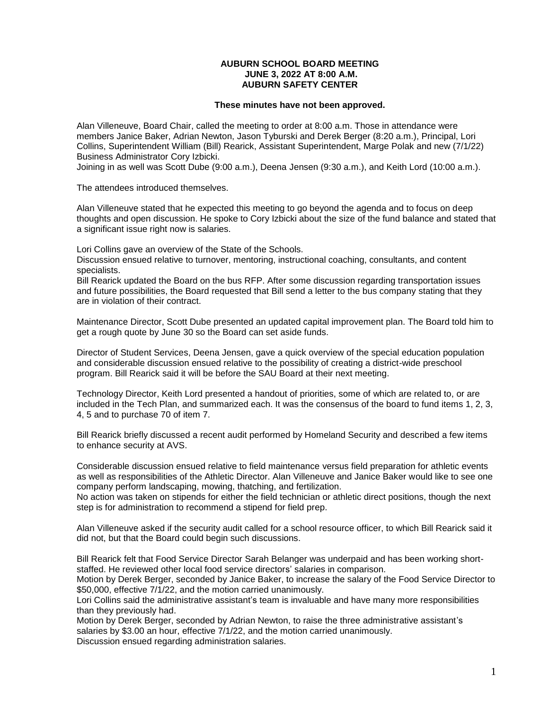## **AUBURN SCHOOL BOARD MEETING JUNE 3, 2022 AT 8:00 A.M. AUBURN SAFETY CENTER**

## **These minutes have not been approved.**

Alan Villeneuve, Board Chair, called the meeting to order at 8:00 a.m. Those in attendance were members Janice Baker, Adrian Newton, Jason Tyburski and Derek Berger (8:20 a.m.), Principal, Lori Collins, Superintendent William (Bill) Rearick, Assistant Superintendent, Marge Polak and new (7/1/22) Business Administrator Cory Izbicki.

Joining in as well was Scott Dube (9:00 a.m.), Deena Jensen (9:30 a.m.), and Keith Lord (10:00 a.m.).

The attendees introduced themselves.

Alan Villeneuve stated that he expected this meeting to go beyond the agenda and to focus on deep thoughts and open discussion. He spoke to Cory Izbicki about the size of the fund balance and stated that a significant issue right now is salaries.

Lori Collins gave an overview of the State of the Schools.

Discussion ensued relative to turnover, mentoring, instructional coaching, consultants, and content specialists.

Bill Rearick updated the Board on the bus RFP. After some discussion regarding transportation issues and future possibilities, the Board requested that Bill send a letter to the bus company stating that they are in violation of their contract.

Maintenance Director, Scott Dube presented an updated capital improvement plan. The Board told him to get a rough quote by June 30 so the Board can set aside funds.

Director of Student Services, Deena Jensen, gave a quick overview of the special education population and considerable discussion ensued relative to the possibility of creating a district-wide preschool program. Bill Rearick said it will be before the SAU Board at their next meeting.

Technology Director, Keith Lord presented a handout of priorities, some of which are related to, or are included in the Tech Plan, and summarized each. It was the consensus of the board to fund items 1, 2, 3, 4, 5 and to purchase 70 of item 7.

Bill Rearick briefly discussed a recent audit performed by Homeland Security and described a few items to enhance security at AVS.

Considerable discussion ensued relative to field maintenance versus field preparation for athletic events as well as responsibilities of the Athletic Director. Alan Villeneuve and Janice Baker would like to see one company perform landscaping, mowing, thatching, and fertilization.

No action was taken on stipends for either the field technician or athletic direct positions, though the next step is for administration to recommend a stipend for field prep.

Alan Villeneuve asked if the security audit called for a school resource officer, to which Bill Rearick said it did not, but that the Board could begin such discussions.

Bill Rearick felt that Food Service Director Sarah Belanger was underpaid and has been working shortstaffed. He reviewed other local food service directors' salaries in comparison.

Motion by Derek Berger, seconded by Janice Baker, to increase the salary of the Food Service Director to \$50,000, effective 7/1/22, and the motion carried unanimously.

Lori Collins said the administrative assistant's team is invaluable and have many more responsibilities than they previously had.

Motion by Derek Berger, seconded by Adrian Newton, to raise the three administrative assistant's salaries by \$3.00 an hour, effective 7/1/22, and the motion carried unanimously. Discussion ensued regarding administration salaries.